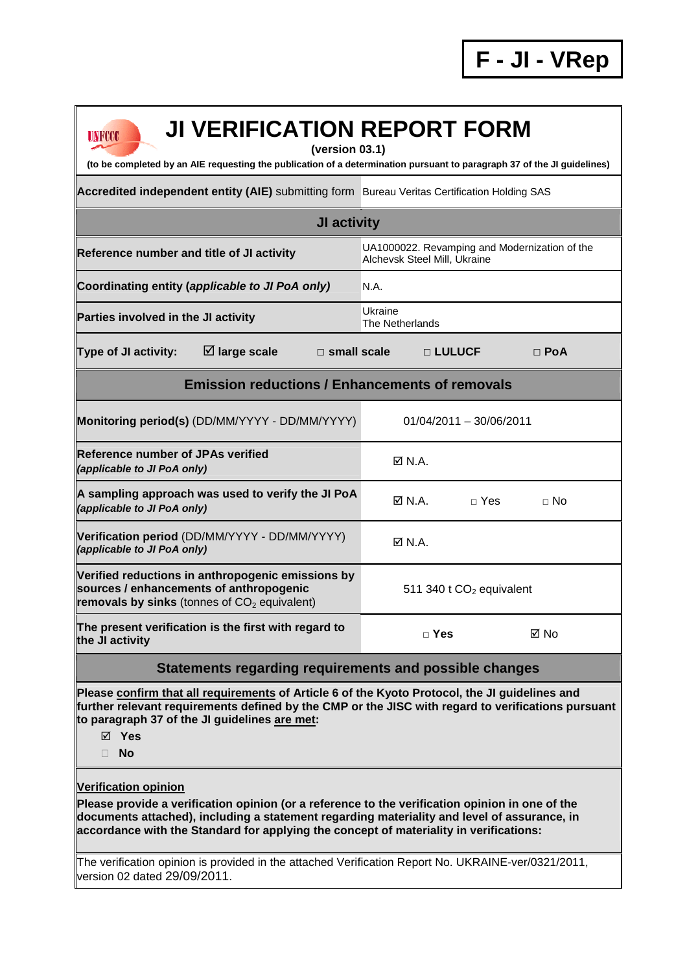| <b>JI VERIFICATION REPORT FORM</b><br>UNFCCC<br>(version 03.1)<br>(to be completed by an AIE requesting the publication of a determination pursuant to paragraph 37 of the JI guidelines)                                                                                                                               |                                                                               |                           |             |  |  |
|-------------------------------------------------------------------------------------------------------------------------------------------------------------------------------------------------------------------------------------------------------------------------------------------------------------------------|-------------------------------------------------------------------------------|---------------------------|-------------|--|--|
| Accredited independent entity (AIE) submitting form Bureau Veritas Certification Holding SAS                                                                                                                                                                                                                            |                                                                               |                           |             |  |  |
| <b>JI activity</b>                                                                                                                                                                                                                                                                                                      |                                                                               |                           |             |  |  |
| Reference number and title of JI activity                                                                                                                                                                                                                                                                               | UA1000022. Revamping and Modernization of the<br>Alchevsk Steel Mill, Ukraine |                           |             |  |  |
| Coordinating entity (applicable to JI PoA only)                                                                                                                                                                                                                                                                         | N.A.                                                                          |                           |             |  |  |
| Parties involved in the JI activity                                                                                                                                                                                                                                                                                     | Ukraine<br>The Netherlands                                                    |                           |             |  |  |
| $\boxtimes$ large scale<br>Type of JI activity:<br>$\Box$ small scale                                                                                                                                                                                                                                                   | □ LULUCF                                                                      |                           | $\Box$ PoA  |  |  |
| <b>Emission reductions / Enhancements of removals</b>                                                                                                                                                                                                                                                                   |                                                                               |                           |             |  |  |
| Monitoring period(s) (DD/MM/YYYY - DD/MM/YYYY)                                                                                                                                                                                                                                                                          |                                                                               | $01/04/2011 - 30/06/2011$ |             |  |  |
| <b>Reference number of JPAs verified</b><br>(applicable to JI PoA only)                                                                                                                                                                                                                                                 | $\boxtimes$ N.A.                                                              |                           |             |  |  |
| A sampling approach was used to verify the JI PoA<br>(applicable to JI PoA only)                                                                                                                                                                                                                                        | $\boxtimes$ N.A.                                                              | $\sqcap$ Yes              | $\sqcap$ No |  |  |
| Verification period (DD/MM/YYYY - DD/MM/YYYY)<br>(applicable to JI PoA only)                                                                                                                                                                                                                                            | $\boxtimes$ N.A.                                                              |                           |             |  |  |
| Verified reductions in anthropogenic emissions by<br>sources / enhancements of anthropogenic<br>removals by sinks (tonnes of CO <sub>2</sub> equivalent)                                                                                                                                                                | 511 340 t $CO2$ equivalent                                                    |                           |             |  |  |
| The present verification is the first with regard to<br>the JI activity                                                                                                                                                                                                                                                 | $\Box$ Yes                                                                    |                           | ⊠ No        |  |  |
| Statements regarding requirements and possible changes                                                                                                                                                                                                                                                                  |                                                                               |                           |             |  |  |
| Please confirm that all requirements of Article 6 of the Kyoto Protocol, the JI guidelines and<br>further relevant requirements defined by the CMP or the JISC with regard to verifications pursuant<br>to paragraph 37 of the JI guidelines are met:<br>⊠ Yes<br><b>No</b><br>П.                                       |                                                                               |                           |             |  |  |
| <b>Verification opinion</b><br>Please provide a verification opinion (or a reference to the verification opinion in one of the<br>documents attached), including a statement regarding materiality and level of assurance, in<br>accordance with the Standard for applying the concept of materiality in verifications: |                                                                               |                           |             |  |  |
| $\blacksquare$                                                                                                                                                                                                                                                                                                          |                                                                               |                           |             |  |  |

The verification opinion is provided in the attached Verification Report No. UKRAINE-ver/0321/2011, version 02 dated 29/09/2011.